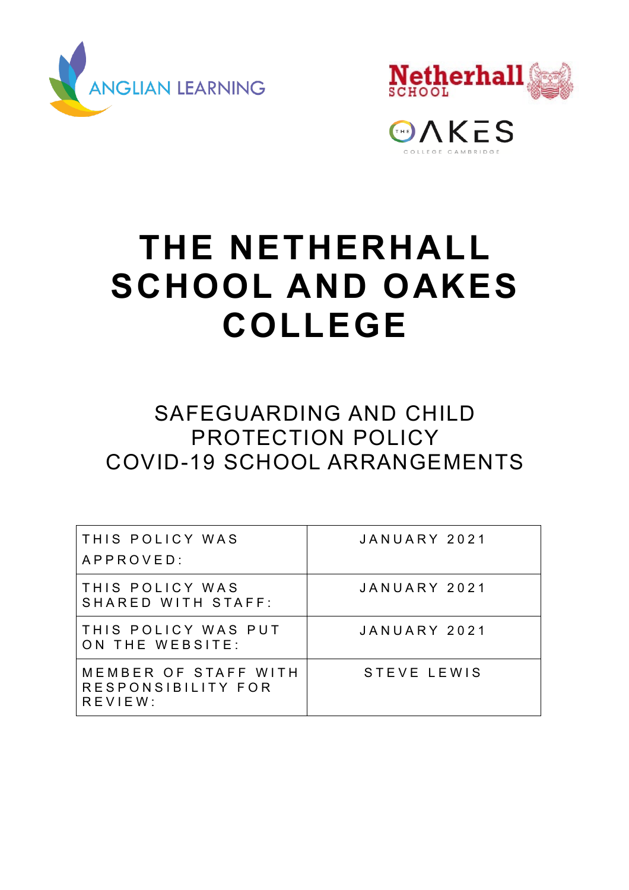



GAKES

# **THE NETHERHALL SCHOOL AND OAKES COLLEGE**

# SAFEGUARDING AND CHILD PROTECTION POLICY COVID-19 SCHOOL ARRANGEMENTS

| THIS POLICY WAS<br>APPROVED:                             | JANUARY 2021 |
|----------------------------------------------------------|--------------|
| THIS POLICY WAS<br>SHARED WITH STAFF:                    | JANUARY 2021 |
| THIS POLICY WAS PUT<br>ON THE WEBSITE:                   | JANUARY 2021 |
| MEMBER OF STAFF WITH<br>RESPONSIBILITY FOR<br>$R$ EVIEW: | STEVE LEWIS  |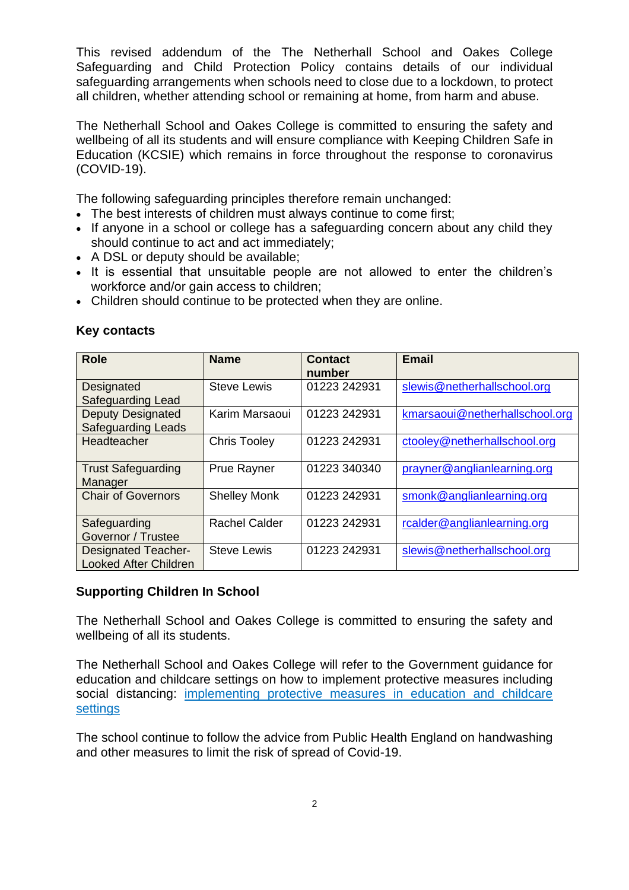This revised addendum of the The Netherhall School and Oakes College Safeguarding and Child Protection Policy contains details of our individual safeguarding arrangements when schools need to close due to a lockdown, to protect all children, whether attending school or remaining at home, from harm and abuse.

The Netherhall School and Oakes College is committed to ensuring the safety and wellbeing of all its students and will ensure compliance with Keeping Children Safe in Education (KCSIE) which remains in force throughout the response to coronavirus (COVID-19).

The following safeguarding principles therefore remain unchanged:

- The best interests of children must always continue to come first;
- If anyone in a school or college has a safeguarding concern about any child they should continue to act and act immediately;
- A DSL or deputy should be available;
- It is essential that unsuitable people are not allowed to enter the children's workforce and/or gain access to children;
- Children should continue to be protected when they are online.

| <b>Role</b>                                                | <b>Name</b>          | <b>Contact</b><br>number | <b>Email</b>                   |
|------------------------------------------------------------|----------------------|--------------------------|--------------------------------|
| Designated<br><b>Safeguarding Lead</b>                     | <b>Steve Lewis</b>   | 01223 242931             | slewis@netherhallschool.org    |
| <b>Deputy Designated</b><br><b>Safeguarding Leads</b>      | Karim Marsaoui       | 01223 242931             | kmarsaoui@netherhallschool.org |
| Headteacher                                                | <b>Chris Tooley</b>  | 01223 242931             | ctooley@netherhallschool.org   |
| <b>Trust Safeguarding</b><br>Manager                       | <b>Prue Rayner</b>   | 01223 340340             | prayner@anglianlearning.org    |
| <b>Chair of Governors</b>                                  | <b>Shelley Monk</b>  | 01223 242931             | smonk@anglianlearning.org      |
| Safeguarding<br>Governor / Trustee                         | <b>Rachel Calder</b> | 01223 242931             | rcalder@anglianlearning.org    |
| <b>Designated Teacher-</b><br><b>Looked After Children</b> | <b>Steve Lewis</b>   | 01223 242931             | slewis@netherhallschool.org    |

# **Key contacts**

# **Supporting Children In School**

The Netherhall School and Oakes College is committed to ensuring the safety and wellbeing of all its students.

The Netherhall School and Oakes College will refer to the Government guidance for education and childcare settings on how to implement protective measures including social distancing: implementing protective measures in education and childcare [settings](https://www.gov.uk/government/publications/coronavirus-covid-19-implementing-protective-measures-in-education-and-childcare-settings)

The school continue to follow the advice from Public Health England on handwashing and other measures to limit the risk of spread of Covid-19.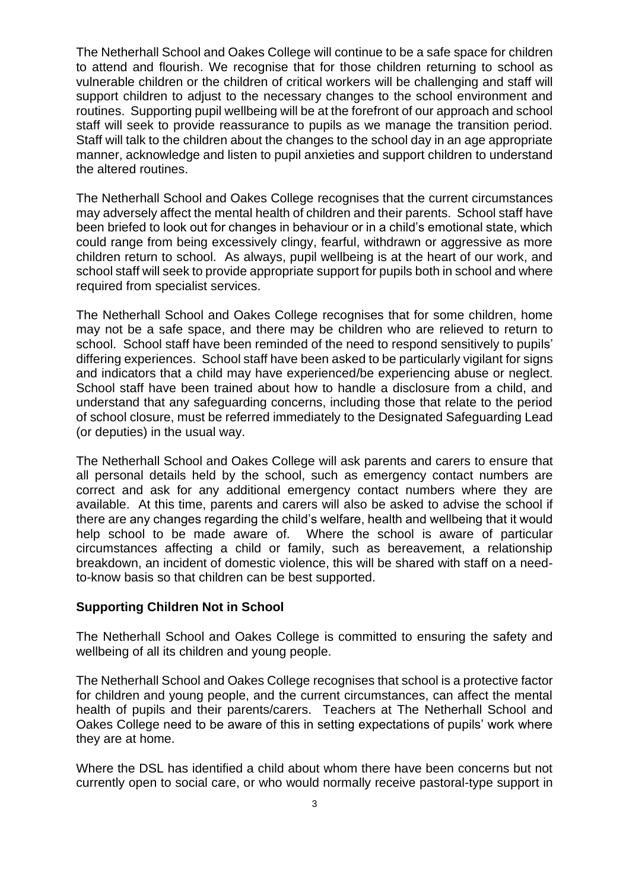The Netherhall School and Oakes College will continue to be a safe space for children to attend and flourish. We recognise that for those children returning to school as vulnerable children or the children of critical workers will be challenging and staff will support children to adjust to the necessary changes to the school environment and routines. Supporting pupil wellbeing will be at the forefront of our approach and school staff will seek to provide reassurance to pupils as we manage the transition period. Staff will talk to the children about the changes to the school day in an age appropriate manner, acknowledge and listen to pupil anxieties and support children to understand the altered routines.

The Netherhall School and Oakes College recognises that the current circumstances may adversely affect the mental health of children and their parents. School staff have been briefed to look out for changes in behaviour or in a child's emotional state, which could range from being excessively clingy, fearful, withdrawn or aggressive as more children return to school. As always, pupil wellbeing is at the heart of our work, and school staff will seek to provide appropriate support for pupils both in school and where required from specialist services.

The Netherhall School and Oakes College recognises that for some children, home may not be a safe space, and there may be children who are relieved to return to school. School staff have been reminded of the need to respond sensitively to pupils' differing experiences. School staff have been asked to be particularly vigilant for signs and indicators that a child may have experienced/be experiencing abuse or neglect. School staff have been trained about how to handle a disclosure from a child, and understand that any safeguarding concerns, including those that relate to the period of school closure, must be referred immediately to the Designated Safeguarding Lead (or deputies) in the usual way.

The Netherhall School and Oakes College will ask parents and carers to ensure that all personal details held by the school, such as emergency contact numbers are correct and ask for any additional emergency contact numbers where they are available. At this time, parents and carers will also be asked to advise the school if there are any changes regarding the child's welfare, health and wellbeing that it would help school to be made aware of. Where the school is aware of particular circumstances affecting a child or family, such as bereavement, a relationship breakdown, an incident of domestic violence, this will be shared with staff on a needto-know basis so that children can be best supported.

### **Supporting Children Not in School**

The Netherhall School and Oakes College is committed to ensuring the safety and wellbeing of all its children and young people.

The Netherhall School and Oakes College recognises that school is a protective factor for children and young people, and the current circumstances, can affect the mental health of pupils and their parents/carers. Teachers at The Netherhall School and Oakes College need to be aware of this in setting expectations of pupils' work where they are at home.

Where the DSL has identified a child about whom there have been concerns but not currently open to social care, or who would normally receive pastoral-type support in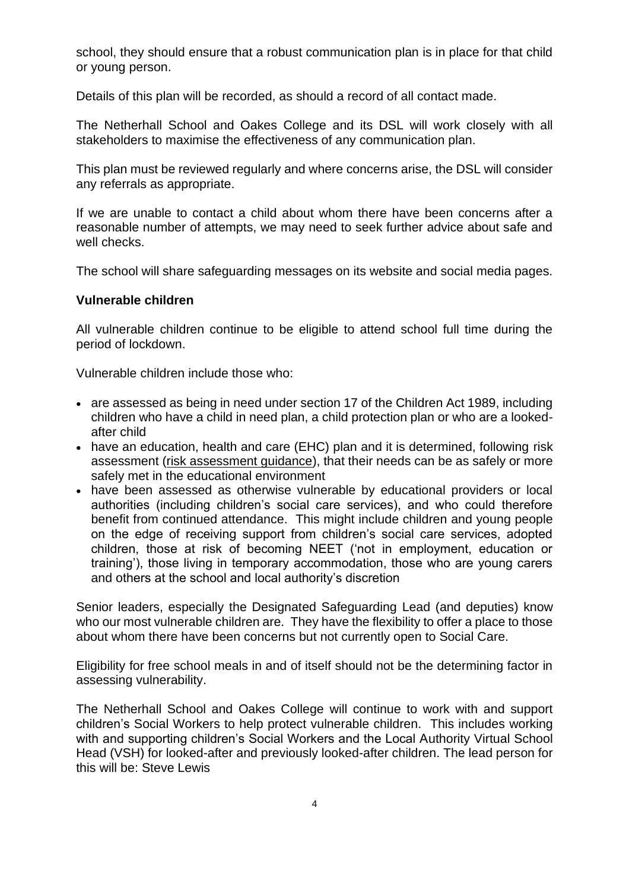school, they should ensure that a robust communication plan is in place for that child or young person.

Details of this plan will be recorded, as should a record of all contact made.

The Netherhall School and Oakes College and its DSL will work closely with all stakeholders to maximise the effectiveness of any communication plan.

This plan must be reviewed regularly and where concerns arise, the DSL will consider any referrals as appropriate.

If we are unable to contact a child about whom there have been concerns after a reasonable number of attempts, we may need to seek further advice about safe and well checks.

The school will share safeguarding messages on its website and social media pages.

#### **Vulnerable children**

All vulnerable children continue to be eligible to attend school full time during the period of lockdown.

Vulnerable children include those who:

- are assessed as being in need under section 17 of the Children Act 1989, including children who have a child in need plan, a child protection plan or who are a lookedafter child
- have an education, health and care (EHC) plan and it is determined, following risk assessment [\(risk assessment guidance\)](https://www.gov.uk/government/publications/coronavirus-covid-19-send-risk-assessment-guidance/coronavirus-covid-19-send-risk-assessment-guidance), that their needs can be as safely or more safely met in the educational environment
- have been assessed as otherwise vulnerable by educational providers or local authorities (including children's social care services), and who could therefore benefit from continued attendance. This might include children and young people on the edge of receiving support from children's social care services, adopted children, those at risk of becoming NEET ('not in employment, education or training'), those living in temporary accommodation, those who are young carers and others at the school and local authority's discretion

Senior leaders, especially the Designated Safeguarding Lead (and deputies) know who our most vulnerable children are. They have the flexibility to offer a place to those about whom there have been concerns but not currently open to Social Care.

Eligibility for free school meals in and of itself should not be the determining factor in assessing vulnerability.

The Netherhall School and Oakes College will continue to work with and support children's Social Workers to help protect vulnerable children. This includes working with and supporting children's Social Workers and the Local Authority Virtual School Head (VSH) for looked-after and previously looked-after children. The lead person for this will be: Steve Lewis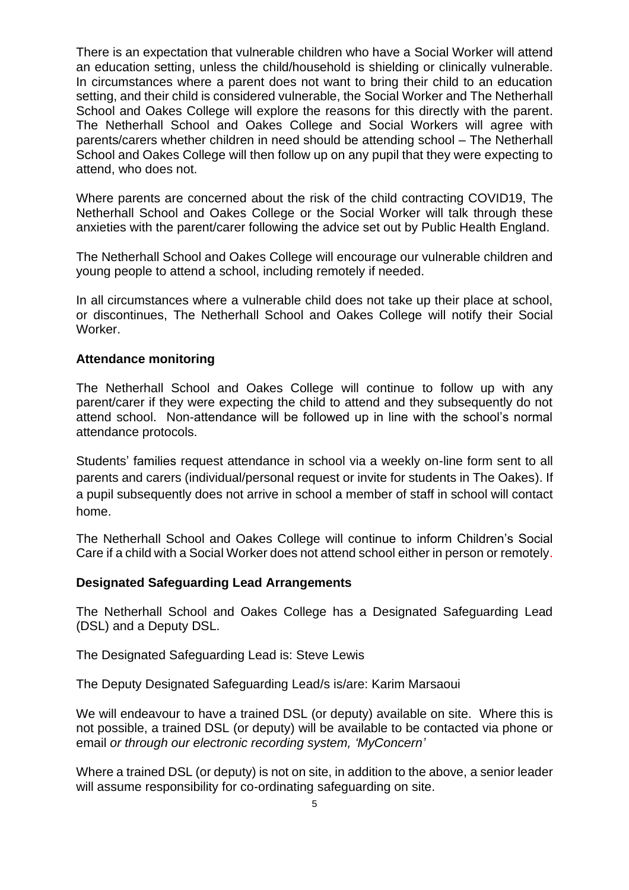There is an expectation that vulnerable children who have a Social Worker will attend an education setting, unless the child/household is shielding or clinically vulnerable. In circumstances where a parent does not want to bring their child to an education setting, and their child is considered vulnerable, the Social Worker and The Netherhall School and Oakes College will explore the reasons for this directly with the parent. The Netherhall School and Oakes College and Social Workers will agree with parents/carers whether children in need should be attending school – The Netherhall School and Oakes College will then follow up on any pupil that they were expecting to attend, who does not.

Where parents are concerned about the risk of the child contracting COVID19, The Netherhall School and Oakes College or the Social Worker will talk through these anxieties with the parent/carer following the advice set out by Public Health England.

The Netherhall School and Oakes College will encourage our vulnerable children and young people to attend a school, including remotely if needed.

In all circumstances where a vulnerable child does not take up their place at school, or discontinues, The Netherhall School and Oakes College will notify their Social Worker.

# **Attendance monitoring**

The Netherhall School and Oakes College will continue to follow up with any parent/carer if they were expecting the child to attend and they subsequently do not attend school. Non-attendance will be followed up in line with the school's normal attendance protocols.

Students' families request attendance in school via a weekly on-line form sent to all parents and carers (individual/personal request or invite for students in The Oakes). If a pupil subsequently does not arrive in school a member of staff in school will contact home.

The Netherhall School and Oakes College will continue to inform Children's Social Care if a child with a Social Worker does not attend school either in person or remotely.

#### **Designated Safeguarding Lead Arrangements**

The Netherhall School and Oakes College has a Designated Safeguarding Lead (DSL) and a Deputy DSL.

The Designated Safeguarding Lead is: Steve Lewis

The Deputy Designated Safeguarding Lead/s is/are: Karim Marsaoui

We will endeavour to have a trained DSL (or deputy) available on site. Where this is not possible, a trained DSL (or deputy) will be available to be contacted via phone or email *or through our electronic recording system, 'MyConcern'*

Where a trained DSL (or deputy) is not on site, in addition to the above, a senior leader will assume responsibility for co-ordinating safeguarding on site.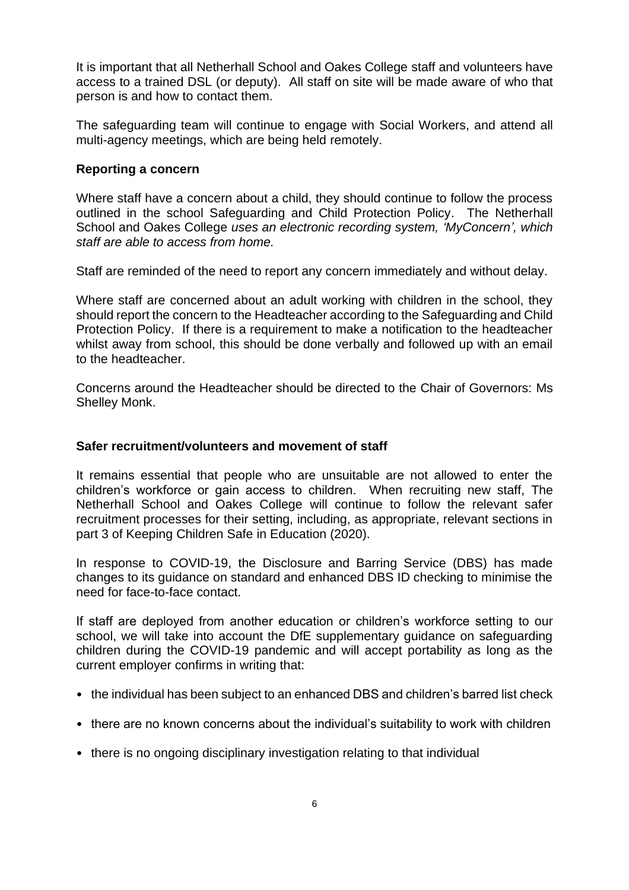It is important that all Netherhall School and Oakes College staff and volunteers have access to a trained DSL (or deputy). All staff on site will be made aware of who that person is and how to contact them.

The safeguarding team will continue to engage with Social Workers, and attend all multi-agency meetings, which are being held remotely.

# **Reporting a concern**

Where staff have a concern about a child, they should continue to follow the process outlined in the school Safeguarding and Child Protection Policy. The Netherhall School and Oakes College *uses an electronic recording system, 'MyConcern', which staff are able to access from home.*

Staff are reminded of the need to report any concern immediately and without delay.

Where staff are concerned about an adult working with children in the school, they should report the concern to the Headteacher according to the Safeguarding and Child Protection Policy. If there is a requirement to make a notification to the headteacher whilst away from school, this should be done verbally and followed up with an email to the headteacher.

Concerns around the Headteacher should be directed to the Chair of Governors: Ms Shelley Monk.

### **Safer recruitment/volunteers and movement of staff**

It remains essential that people who are unsuitable are not allowed to enter the children's workforce or gain access to children. When recruiting new staff, The Netherhall School and Oakes College will continue to follow the relevant safer recruitment processes for their setting, including, as appropriate, relevant sections in part 3 of Keeping Children Safe in Education (2020).

In response to COVID-19, the Disclosure and Barring Service (DBS) has made changes to its guidance on standard and enhanced DBS ID checking to minimise the need for face-to-face contact.

If staff are deployed from another education or children's workforce setting to our school, we will take into account the DfE supplementary guidance on safeguarding children during the COVID-19 pandemic and will accept portability as long as the current employer confirms in writing that:

- the individual has been subject to an enhanced DBS and children's barred list check
- there are no known concerns about the individual's suitability to work with children
- there is no ongoing disciplinary investigation relating to that individual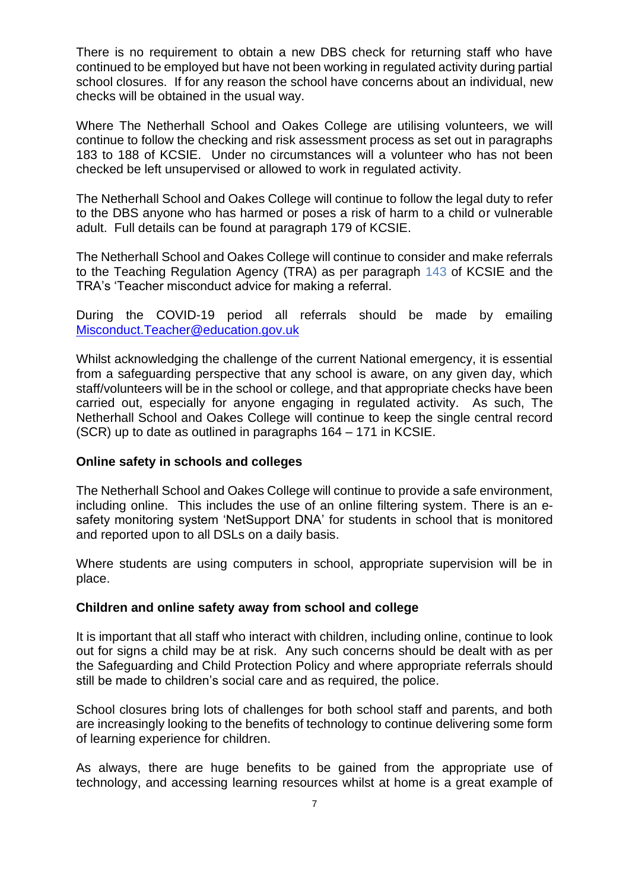There is no requirement to obtain a new DBS check for returning staff who have continued to be employed but have not been working in regulated activity during partial school closures. If for any reason the school have concerns about an individual, new checks will be obtained in the usual way.

Where The Netherhall School and Oakes College are utilising volunteers, we will continue to follow the checking and risk assessment process as set out in paragraphs 183 to 188 of KCSIE. Under no circumstances will a volunteer who has not been checked be left unsupervised or allowed to work in regulated activity.

The Netherhall School and Oakes College will continue to follow the legal duty to refer to the DBS anyone who has harmed or poses a risk of harm to a child or vulnerable adult. Full details can be found at paragraph 179 of KCSIE.

The Netherhall School and Oakes College will continue to consider and make referrals to the Teaching Regulation Agency (TRA) as per paragraph 143 of KCSIE and the TRA's 'Teacher misconduct advice for making a referral.

During the COVID-19 period all referrals should be made by emailing [Misconduct.Teacher@education.gov.uk](mailto:Misconduct.Teacher@education.gov.uk)

Whilst acknowledging the challenge of the current National emergency, it is essential from a safeguarding perspective that any school is aware, on any given day, which staff/volunteers will be in the school or college, and that appropriate checks have been carried out, especially for anyone engaging in regulated activity. As such, The Netherhall School and Oakes College will continue to keep the single central record (SCR) up to date as outlined in paragraphs 164 – 171 in KCSIE.

# **Online safety in schools and colleges**

The Netherhall School and Oakes College will continue to provide a safe environment, including online. This includes the use of an online filtering system. There is an esafety monitoring system 'NetSupport DNA' for students in school that is monitored and reported upon to all DSLs on a daily basis.

Where students are using computers in school, appropriate supervision will be in place.

# **Children and online safety away from school and college**

It is important that all staff who interact with children, including online, continue to look out for signs a child may be at risk. Any such concerns should be dealt with as per the Safeguarding and Child Protection Policy and where appropriate referrals should still be made to children's social care and as required, the police.

School closures bring lots of challenges for both school staff and parents, and both are increasingly looking to the benefits of technology to continue delivering some form of learning experience for children.

As always, there are huge benefits to be gained from the appropriate use of technology, and accessing learning resources whilst at home is a great example of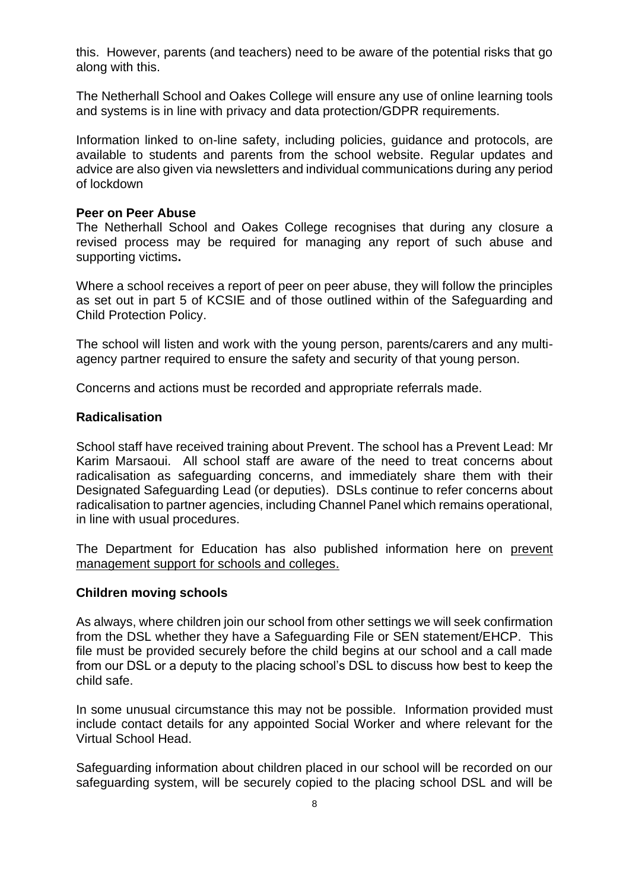this. However, parents (and teachers) need to be aware of the potential risks that go along with this.

The Netherhall School and Oakes College will ensure any use of online learning tools and systems is in line with privacy and data protection/GDPR requirements.

Information linked to on-line safety, including policies, guidance and protocols, are available to students and parents from the school website. Regular updates and advice are also given via newsletters and individual communications during any period of lockdown

#### **Peer on Peer Abuse**

The Netherhall School and Oakes College recognises that during any closure a revised process may be required for managing any report of such abuse and supporting victims**.** 

Where a school receives a report of peer on peer abuse, they will follow the principles as set out in part 5 of KCSIE and of those outlined within of the Safeguarding and Child Protection Policy.

The school will listen and work with the young person, parents/carers and any multiagency partner required to ensure the safety and security of that young person.

Concerns and actions must be recorded and appropriate referrals made.

#### **Radicalisation**

School staff have received training about Prevent. The school has a Prevent Lead: Mr Karim Marsaoui. All school staff are aware of the need to treat concerns about radicalisation as safeguarding concerns, and immediately share them with their Designated Safeguarding Lead (or deputies). DSLs continue to refer concerns about radicalisation to partner agencies, including Channel Panel which remains operational, in line with usual procedures.

The Department for Education has also published information here on [prevent](https://educateagainsthate.com/blog/posts/school-closures-ongoing-prevent-management-support/)  [management support for schools and colleges.](https://educateagainsthate.com/blog/posts/school-closures-ongoing-prevent-management-support/)

#### **Children moving schools**

As always, where children join our school from other settings we will seek confirmation from the DSL whether they have a Safeguarding File or SEN statement/EHCP. This file must be provided securely before the child begins at our school and a call made from our DSL or a deputy to the placing school's DSL to discuss how best to keep the child safe.

In some unusual circumstance this may not be possible. Information provided must include contact details for any appointed Social Worker and where relevant for the Virtual School Head.

Safeguarding information about children placed in our school will be recorded on our safeguarding system, will be securely copied to the placing school DSL and will be